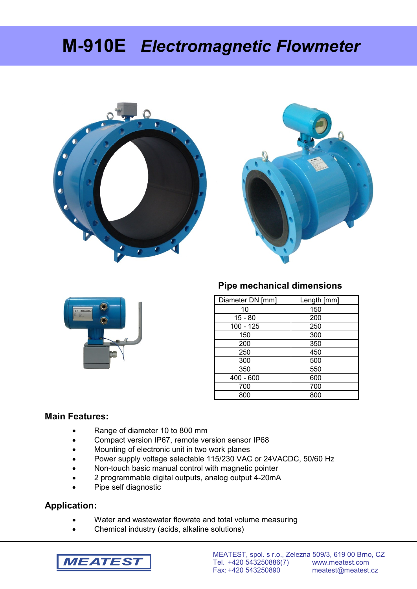# **M-910E** *Electromagnetic Flowmeter*







## **Pipe mechanical dimensions**

| Diameter DN [mm] | Length [mm] |
|------------------|-------------|
| 10               | 150         |
| $15 - 80$        | 200         |
| 100 - 125        | 250         |
| 150              | 300         |
| 200              | 350         |
| 250              | 450         |
| 300              | 500         |
| 350              | 550         |
| $400 - 600$      | 600         |
| 700              | 700         |
| 800              | 800         |

## **Main Features:**

- Range of diameter 10 to 800 mm
- Compact version IP67, remote version sensor IP68
- Mounting of electronic unit in two work planes
- Power supply voltage selectable 115/230 VAC or 24VACDC, 50/60 Hz
- Non-touch basic manual control with magnetic pointer
- 2 programmable digital outputs, analog output 4-20mA
- Pipe self diagnostic

## **Application:**

- Water and wastewater flowrate and total volume measuring
- Chemical industry (acids, alkaline solutions)